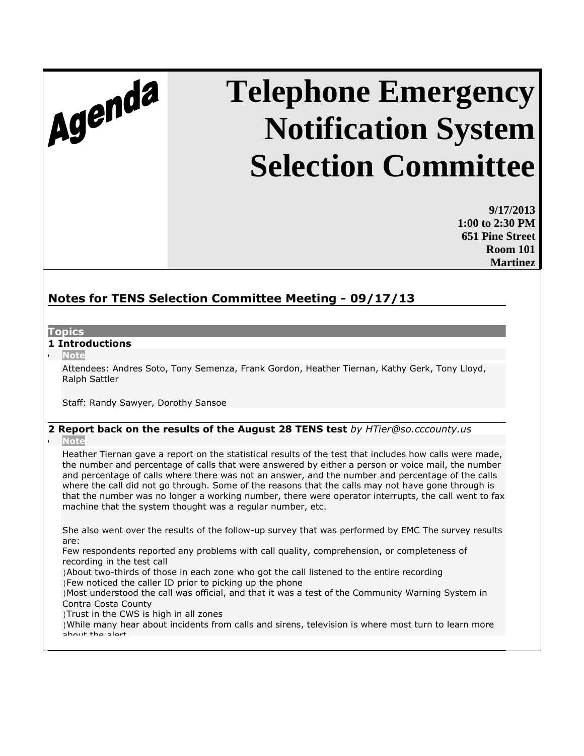# Agenda

# **Telephone Emergency Notification System Selection Committee**

**9/17/2013 1:00 to 2:30 PM 651 Pine Street Room 101 Martinez**

## **Notes for TENS Selection Committee Meeting - 09/17/13**

#### **Topics**

#### **1 Introductions**

**Note**

Attendees: Andres Soto, Tony Semenza, Frank Gordon, Heather Tiernan, Kathy Gerk, Tony Lloyd, Ralph Sattler

Staff: Randy Sawyer, Dorothy Sansoe

### **2 Report back on the results of the August 28 TENS test** *by HTier@so.cccounty.us*

#### **Note**

Heather Tiernan gave a report on the statistical results of the test that includes how calls were made, the number and percentage of calls that were answered by either a person or voice mail, the number and percentage of calls where there was not an answer, and the number and percentage of the calls where the call did not go through. Some of the reasons that the calls may not have gone through is that the number was no longer a working number, there were operator interrupts, the call went to fax machine that the system thought was a regular number, etc.

She also went over the results of the follow-up survey that was performed by EMC The survey results are:

Few respondents reported any problems with call quality, comprehension, or completeness of recording in the test call

About two-thirds of those in each zone who got the call listened to the entire recording Few noticed the caller ID prior to picking up the phone

Most understood the call was official, and that it was a test of the Community Warning System in Contra Costa County

Trust in the CWS is high in all zones

While many hear about incidents from calls and sirens, television is where most turn to learn more about the alert